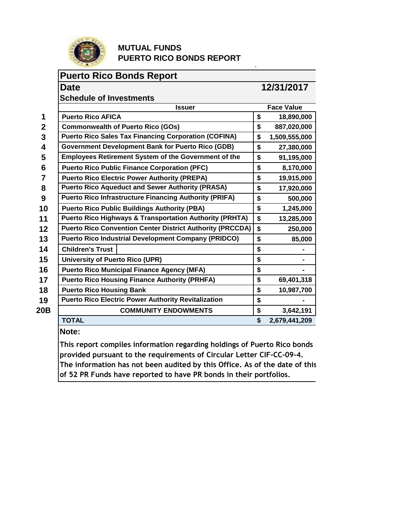

## **MUTUAL FUNDS PUERTO RICO BONDS REPORT**

## **Puerto Rico Bonds Report**

## **Date** 12/31/2017

.

|              | <b>Schedule of Investments</b>                                     |                     |
|--------------|--------------------------------------------------------------------|---------------------|
|              | <b>Issuer</b>                                                      | <b>Face Value</b>   |
| 1            | <b>Puerto Rico AFICA</b>                                           | \$<br>18,890,000    |
| $\mathbf{2}$ | <b>Commonwealth of Puerto Rico (GOs)</b>                           | \$<br>887,020,000   |
| 3            | <b>Puerto Rico Sales Tax Financing Corporation (COFINA)</b>        | \$<br>1,509,555,000 |
| 4            | <b>Government Development Bank for Puerto Rico (GDB)</b>           | \$<br>27,380,000    |
| 5            | <b>Employees Retirement System of the Government of the</b>        | \$<br>91,195,000    |
| 6            | <b>Puerto Rico Public Finance Corporation (PFC)</b>                | \$<br>8,170,000     |
| 7            | <b>Puerto Rico Electric Power Authority (PREPA)</b>                | \$<br>19,915,000    |
| 8            | <b>Puerto Rico Aqueduct and Sewer Authority (PRASA)</b>            | \$<br>17,920,000    |
| 9            | <b>Puerto Rico Infrastructure Financing Authority (PRIFA)</b>      | \$<br>500,000       |
| 10           | <b>Puerto Rico Public Buildings Authority (PBA)</b>                | \$<br>1,245,000     |
| 11           | <b>Puerto Rico Highways &amp; Transportation Authority (PRHTA)</b> | \$<br>13,285,000    |
| 12           | <b>Puerto Rico Convention Center District Authority (PRCCDA)</b>   | \$<br>250,000       |
| 13           | <b>Puerto Rico Industrial Development Company (PRIDCO)</b>         | \$<br>85,000        |
| 14           | <b>Children's Trust</b>                                            | \$                  |
| 15           | <b>University of Puerto Rico (UPR)</b>                             | \$                  |
| 16           | <b>Puerto Rico Municipal Finance Agency (MFA)</b>                  | \$                  |
| 17           | <b>Puerto Rico Housing Finance Authority (PRHFA)</b>               | \$<br>69,401,318    |
| 18           | <b>Puerto Rico Housing Bank</b>                                    | \$<br>10,987,700    |
| 19           | <b>Puerto Rico Electric Power Authority Revitalization</b>         | \$                  |
| 20B          | <b>COMMUNITY ENDOWMENTS</b>                                        | \$<br>3,642,191     |
|              | <b>TOTAL</b>                                                       | \$<br>2,679,441,209 |

**Note:**

This report compiles information regarding holdings of Puerto Rico bonds **provided pursuant to the requirements of Circular Letter CIF-CC-09-4.**  The information has not been audited by this Office. As of the date of this **of 52 PR Funds have reported to have PR bonds in their portfolios.**